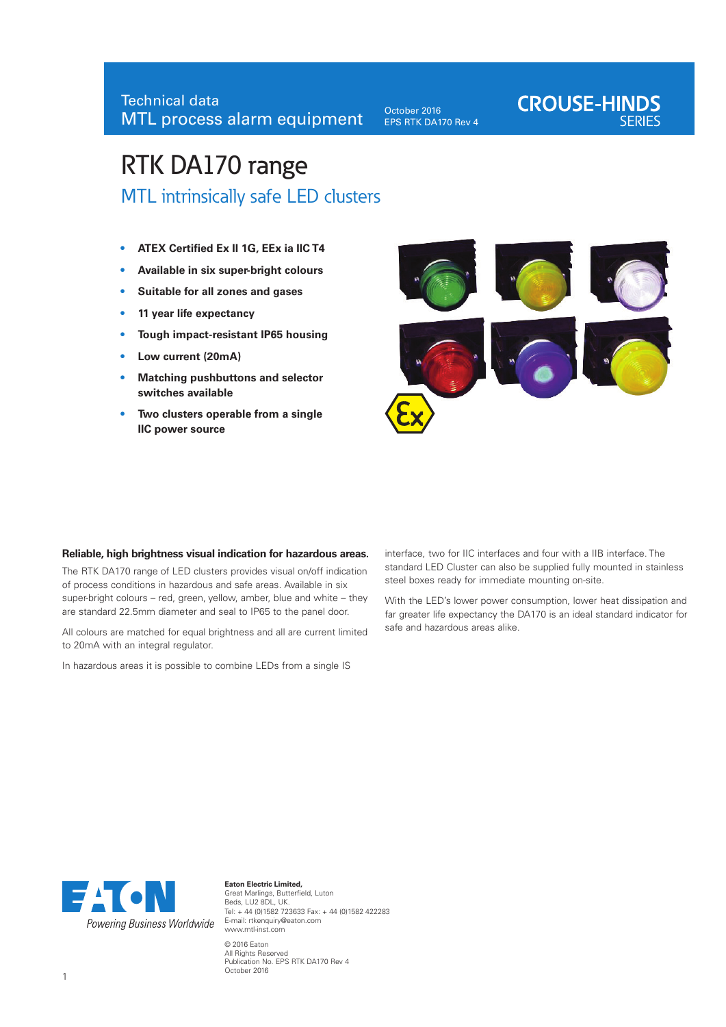October 2016 EPS RTK DA170 Rev 4

# **CROUSE-HINDS**

# RTK DA170 range MTL intrinsically safe LED clusters

- **• ATEX Certified Ex II 1G, EEx ia IIC T4 • Available in six super-bright colours**
- **Suitable for all zones and gases**
- **• 11 year life expectancy**
- **• Tough impact-resistant IP65 housing**
- **• Low current (20mA)**
- **• Matching pushbuttons and selector switches available**
- **• Two clusters operable from a single IIC power source**



#### **Reliable, high brightness visual indication for hazardous areas.**

The RTK DA170 range of LED clusters provides visual on/off indication of process conditions in hazardous and safe areas. Available in six super-bright colours – red, green, yellow, amber, blue and white – they are standard 22.5mm diameter and seal to IP65 to the panel door.

All colours are matched for equal brightness and all are current limited to 20mA with an integral regulator.

In hazardous areas it is possible to combine LEDs from a single IS

interface, two for IIC interfaces and four with a IIB interface. The standard LED Cluster can also be supplied fully mounted in stainless steel boxes ready for immediate mounting on-site.

With the LED's lower power consumption, lower heat dissipation and far greater life expectancy the DA170 is an ideal standard indicator for safe and hazardous areas alike.



**Eaton Electric Limited,**  Great Marlings, Butterfield, Luton Beds, LU2 8DL, UK. Tel: + 44 (0)1582 723633 Fax: + 44 (0)1582 422283 E-mail: rtkenquiry@eaton.com www.mtl-inst.com © 2016 Eaton All Rights Reserved Publication No. EPS RTK DA170 Rev 4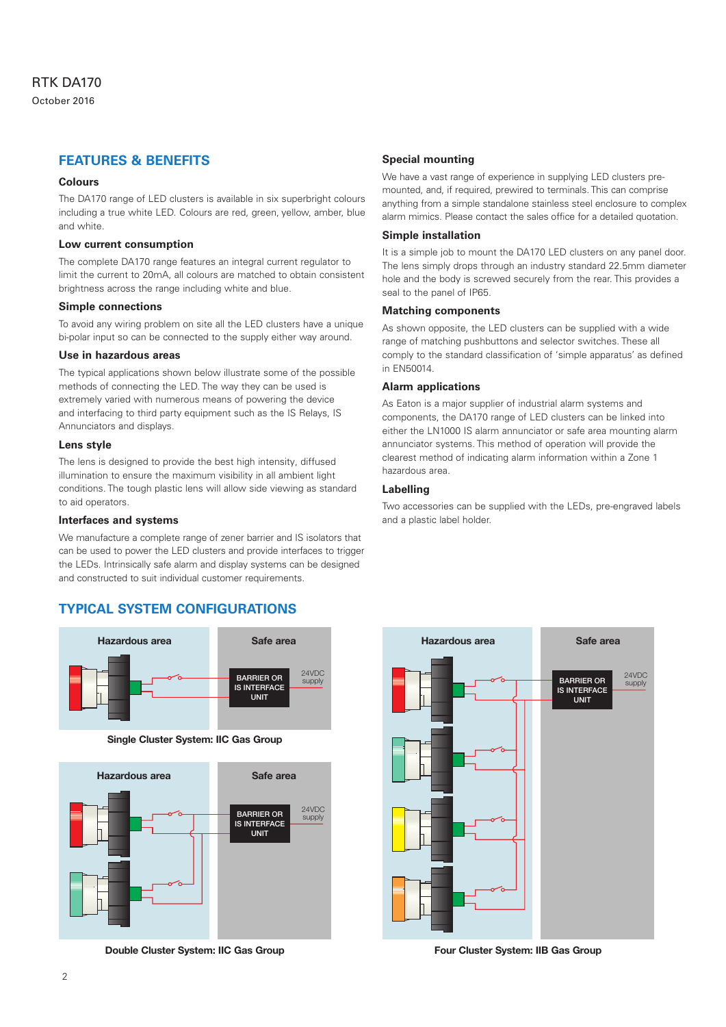## **FEATURES & BENEFITS**

#### **Colours**

The DA170 range of LED clusters is available in six superbright colours including a true white LED. Colours are red, green, yellow, amber, blue and white.

#### **Low current consumption**

The complete DA170 range features an integral current regulator to limit the current to 20mA, all colours are matched to obtain consistent brightness across the range including white and blue.

#### **Simple connections**

To avoid any wiring problem on site all the LED clusters have a unique bi-polar input so can be connected to the supply either way around.

#### **Use in hazardous areas**

The typical applications shown below illustrate some of the possible methods of connecting the LED. The way they can be used is extremely varied with numerous means of powering the device and interfacing to third party equipment such as the IS Relays, IS Annunciators and displays.

#### **Lens style**

The lens is designed to provide the best high intensity, diffused illumination to ensure the maximum visibility in all ambient light conditions. The tough plastic lens will allow side viewing as standard to aid operators.

#### **Interfaces and systems**

We manufacture a complete range of zener barrier and IS isolators that can be used to power the LED clusters and provide interfaces to trigger the LEDs. Intrinsically safe alarm and display systems can be designed and constructed to suit individual customer requirements.

# **TYPICAL SYSTEM CONFIGURATIONS**



**Single Cluster System: IIC Gas Group Single Cluster System: IIC Gas Group**



**Double Cluster System: IIC Gas Group Double Cluster System: IIC Gas Group**

#### **Special mounting**

We have a vast range of experience in supplying LED clusters premounted, and, if required, prewired to terminals. This can comprise anything from a simple standalone stainless steel enclosure to complex alarm mimics. Please contact the sales office for a detailed quotation.

#### **Simple installation**

It is a simple job to mount the DA170 LED clusters on any panel door. The lens simply drops through an industry standard 22.5mm diameter hole and the body is screwed securely from the rear. This provides a seal to the panel of IP65.

#### **Matching components**

As shown opposite, the LED clusters can be supplied with a wide range of matching pushbuttons and selector switches. These all comply to the standard classification of 'simple apparatus' as defined in EN50014.

#### **Alarm applications**

As Eaton is a major supplier of industrial alarm systems and components, the DA170 range of LED clusters can be linked into either the LN1000 IS alarm annunciator or safe area mounting alarm annunciator systems. This method of operation will provide the clearest method of indicating alarm information within a Zone 1 hazardous area.

#### **Labelling**

Two accessories can be supplied with the LEDs, pre-engraved labels and a plastic label holder.



**Four Cluster System: IIB Gas Group Four Cluster System: IIB Gas Group**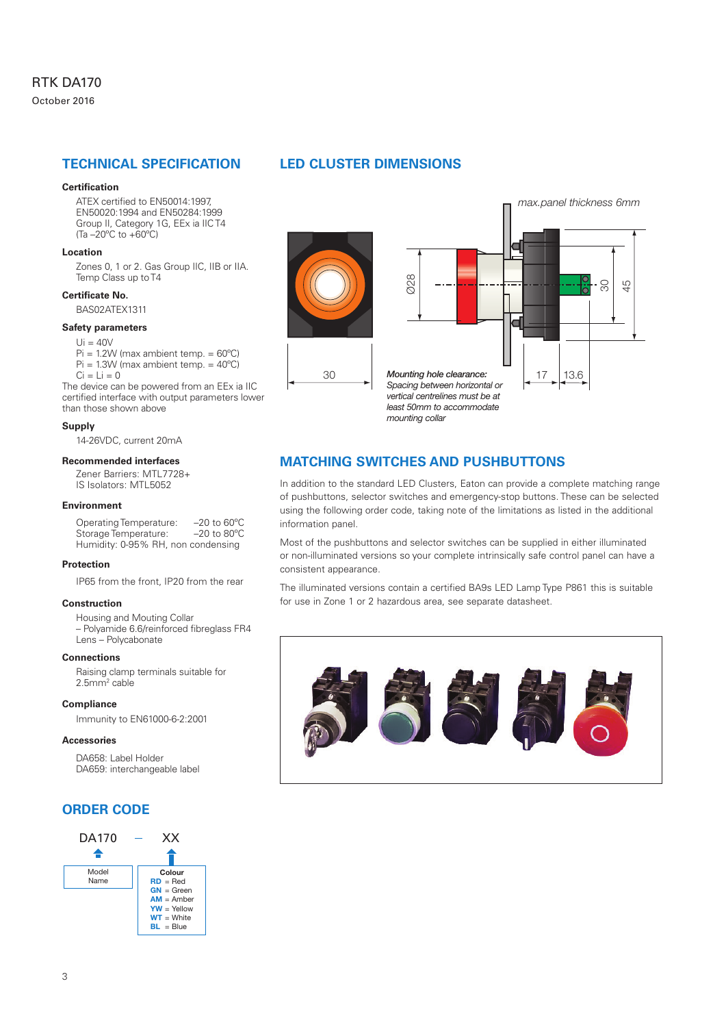### **TECHNICAL SPECIFICATION**

#### **Certification**

ATEX certified to EN50014:1997, EN50020:1994 and EN50284:1999 Group II, Category 1G, EEx ia IIC T4 (Ta –20ºC to +60ºC)

#### **Location**

Zones 0, 1 or 2. Gas Group IIC, IIB or IIA. Temp Class up to T4

#### **Certificate No.**

BAS02ATEX1311

#### **Safety parameters**

 $Ui = 40V$ 

 $Pi = 1.2W$  (max ambient temp. =  $60^{\circ}$ C) Pi = 1.3W (max ambient temp. = 40ºC)  $Ci = Li = 0$ 

The device can be powered from an EEx ia IIC certified interface with output parameters lower than those shown above

#### **Supply**

14-26VDC, current 20mA

#### **Recommended interfaces**

Zener Barriers: MTL7728+ IS Isolators: MTL5052

#### **Environment**

Operating Temperature: -20 to 60°C<br>Storage Temperature: -20 to 80°C Storage Temperature: Humidity: 0-95% RH, non condensing

#### **Protection**

IP65 from the front, IP20 from the rear

#### **Construction**

Housing and Mouting Collar – Polyamide 6.6/reinforced fibreglass FR4 Lens – Polycabonate

#### **Connections**

Raising clamp terminals suitable for 2.5mm2 cable

#### **Compliance**

Immunity to EN61000-6-2:2001

#### **Accessories**

DA658: Label Holder DA659: interchangeable label

# **ORDER CODE**



# **LED CLUSTER DIMENSIONS**



# **MATCHING SWITCHES AND PUSHBUTTONS**

In addition to the standard LED Clusters, Eaton can provide a complete matching range of pushbuttons, selector switches and emergency-stop buttons. These can be selected using the following order code, taking note of the limitations as listed in the additional information panel.

Most of the pushbuttons and selector switches can be supplied in either illuminated or non-illuminated versions so your complete intrinsically safe control panel can have a consistent appearance.

The illuminated versions contain a certified BA9s LED Lamp Type P861 this is suitable for use in Zone 1 or 2 hazardous area, see separate datasheet.